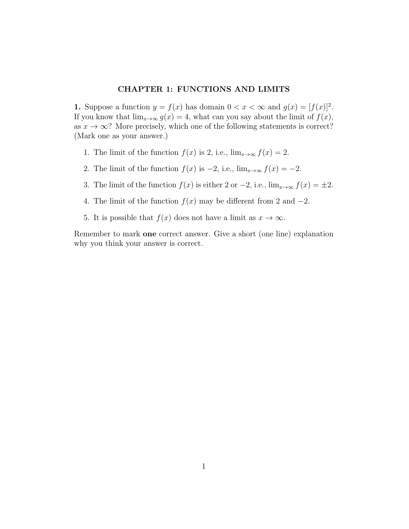## CHAPTER 1: FUNCTIONS AND LIMITS

**1.** Suppose a function  $y = f(x)$  has domain  $0 < x < \infty$  and  $g(x) = [f(x)]^2$ . If you know that  $\lim_{x\to\infty} g(x) = 4$ , what can you say about the limit of  $f(x)$ , as  $x \to \infty$ ? More precisely, which one of the following statements is correct? (Mark one as your answer.)

- 1. The limit of the function  $f(x)$  is 2, i.e.,  $\lim_{x\to\infty} f(x) = 2$ .
- 2. The limit of the function  $f(x)$  is  $-2$ , i.e.,  $\lim_{x\to\infty} f(x) = -2$ .
- 3. The limit of the function  $f(x)$  is either 2 or  $-2$ , i.e.,  $\lim_{x\to\infty} f(x) = \pm 2$ .
- 4. The limit of the function  $f(x)$  may be different from 2 and  $-2$ .
- 5. It is possible that  $f(x)$  does not have a limit as  $x \to \infty$ .

Remember to mark one correct answer. Give a short (one line) explanation why you think your answer is correct.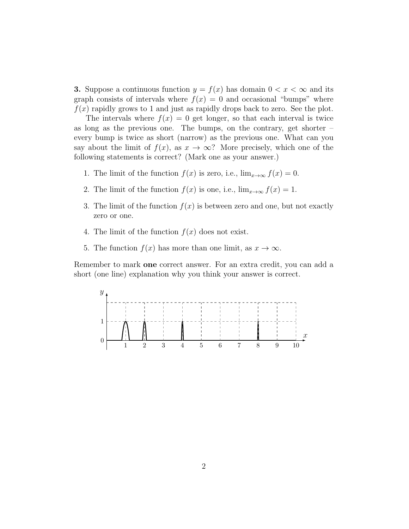**3.** Suppose a continuous function  $y = f(x)$  has domain  $0 < x < \infty$  and its graph consists of intervals where  $f(x) = 0$  and occasional "bumps" where  $f(x)$  rapidly grows to 1 and just as rapidly drops back to zero. See the plot.

The intervals where  $f(x) = 0$  get longer, so that each interval is twice as long as the previous one. The bumps, on the contrary, get shorter – every bump is twice as short (narrow) as the previous one. What can you say about the limit of  $f(x)$ , as  $x \to \infty$ ? More precisely, which one of the following statements is correct? (Mark one as your answer.)

- 1. The limit of the function  $f(x)$  is zero, i.e.,  $\lim_{x\to\infty} f(x) = 0$ .
- 2. The limit of the function  $f(x)$  is one, i.e.,  $\lim_{x\to\infty} f(x) = 1$ .
- 3. The limit of the function  $f(x)$  is between zero and one, but not exactly zero or one.
- 4. The limit of the function  $f(x)$  does not exist.
- 5. The function  $f(x)$  has more than one limit, as  $x \to \infty$ .

Remember to mark one correct answer. For an extra credit, you can add a short (one line) explanation why you think your answer is correct.

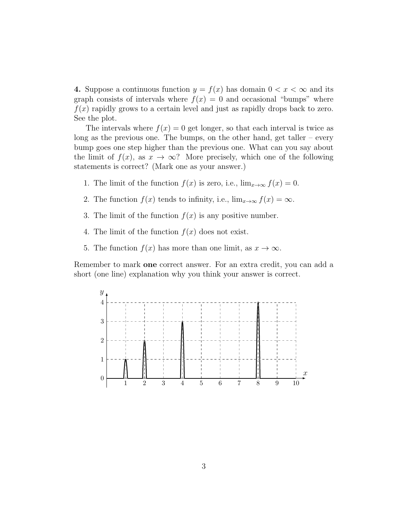4. Suppose a continuous function  $y = f(x)$  has domain  $0 < x < \infty$  and its graph consists of intervals where  $f(x) = 0$  and occasional "bumps" where  $f(x)$  rapidly grows to a certain level and just as rapidly drops back to zero. See the plot.

The intervals where  $f(x) = 0$  get longer, so that each interval is twice as long as the previous one. The bumps, on the other hand, get taller – every bump goes one step higher than the previous one. What can you say about the limit of  $f(x)$ , as  $x \to \infty$ ? More precisely, which one of the following statements is correct? (Mark one as your answer.)

- 1. The limit of the function  $f(x)$  is zero, i.e.,  $\lim_{x\to\infty} f(x) = 0$ .
- 2. The function  $f(x)$  tends to infinity, i.e.,  $\lim_{x\to\infty} f(x) = \infty$ .
- 3. The limit of the function  $f(x)$  is any positive number.
- 4. The limit of the function  $f(x)$  does not exist.
- 5. The function  $f(x)$  has more than one limit, as  $x \to \infty$ .

Remember to mark one correct answer. For an extra credit, you can add a short (one line) explanation why you think your answer is correct.

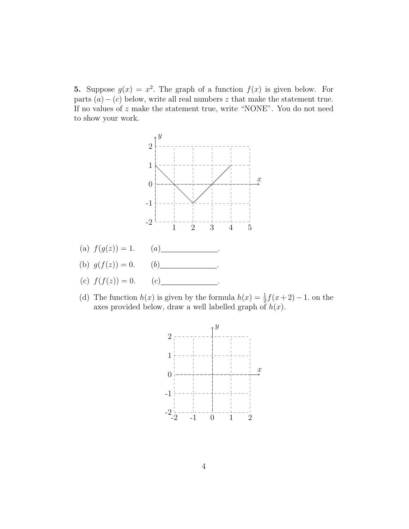**5.** Suppose  $g(x) = x^2$ . The graph of a function  $f(x)$  is given below. For parts  $(a) - (c)$  below, write all real numbers z that make the statement true. If no values of z make the statement true, write "NONE". You do not need to show your work.



(d) The function  $h(x)$  is given by the formula  $h(x) = \frac{1}{2}f(x+2) - 1$ . on the axes provided below, draw a well labelled graph of  $h(x)$ .

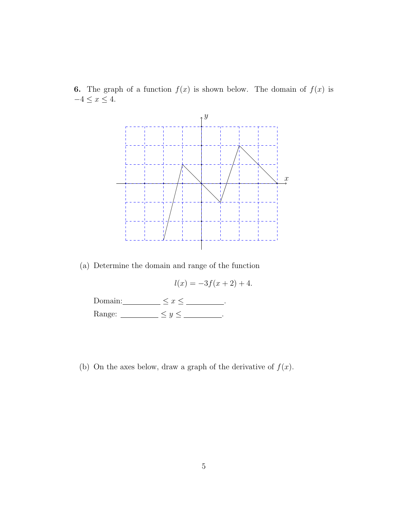**6.** The graph of a function  $f(x)$  is shown below. The domain of  $f(x)$  is  $-4 \leq x \leq 4.$ 



(a) Determine the domain and range of the function

$$
l(x) = -3f(x+2) + 4.
$$

| Domain: |  |
|---------|--|
| Range:  |  |

(b) On the axes below, draw a graph of the derivative of  $f(x)$ .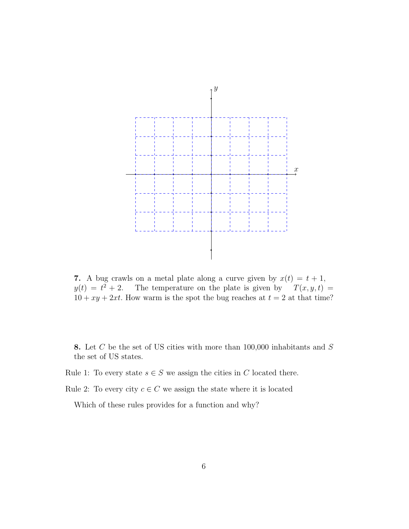![](_page_5_Figure_0.jpeg)

7. A bug crawls on a metal plate along a curve given by  $x(t) = t + 1$ ,  $y(t) = t^2 + 2$ . The temperature on the plate is given by  $T(x, y, t) =$  $10 + xy + 2xt$ . How warm is the spot the bug reaches at  $t = 2$  at that time?

8. Let  $C$  be the set of US cities with more than 100,000 inhabitants and  $S$ the set of US states.

Rule 1: To every state  $s \in S$  we assign the cities in C located there.

Rule 2: To every city  $c \in C$  we assign the state where it is located

Which of these rules provides for a function and why?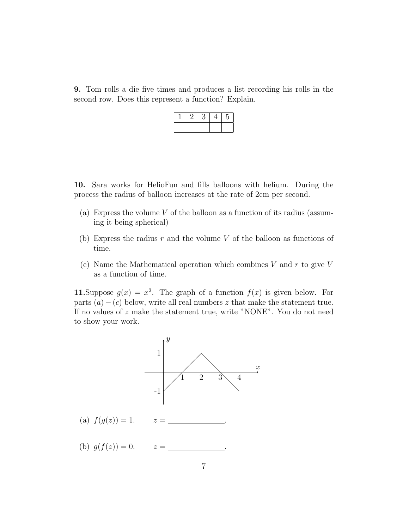9. Tom rolls a die five times and produces a list recording his rolls in the second row. Does this represent a function? Explain.

| <u>.</u> | . . | <b>J</b> |  |
|----------|-----|----------|--|
|          |     |          |  |

10. Sara works for HelioFun and fills balloons with helium. During the process the radius of balloon increases at the rate of 2cm per second.

- (a) Express the volume V of the balloon as a function of its radius (assuming it being spherical)
- (b) Express the radius  $r$  and the volume  $V$  of the balloon as functions of time.
- (c) Name the Mathematical operation which combines  $V$  and  $r$  to give  $V$ as a function of time.

11. Suppose  $g(x) = x^2$ . The graph of a function  $f(x)$  is given below. For parts  $(a) - (c)$  below, write all real numbers z that make the statement true. If no values of z make the statement true, write "NONE". You do not need to show your work.

![](_page_6_Figure_7.jpeg)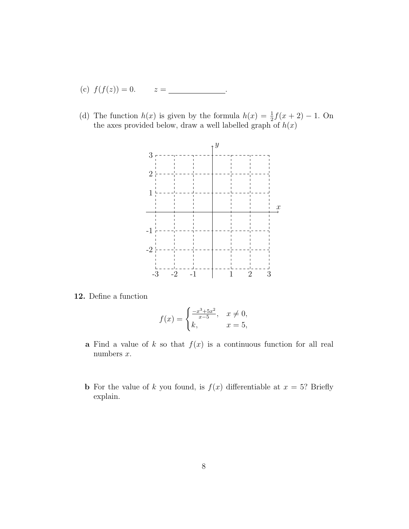- (c)  $f(f(z)) = 0.$   $z =$
- (d) The function  $h(x)$  is given by the formula  $h(x) = \frac{1}{2}f(x+2) 1$ . On the axes provided below, draw a well labelled graph of  $h(x)$

![](_page_7_Figure_2.jpeg)

12. Define a function

$$
f(x) = \begin{cases} \frac{-x^3 + 5x^2}{x - 5}, & x \neq 0, \\ k, & x = 5, \end{cases}
$$

- a Find a value of k so that  $f(x)$  is a continuous function for all real numbers  $x$ .
- **b** For the value of k you found, is  $f(x)$  differentiable at  $x = 5$ ? Briefly explain.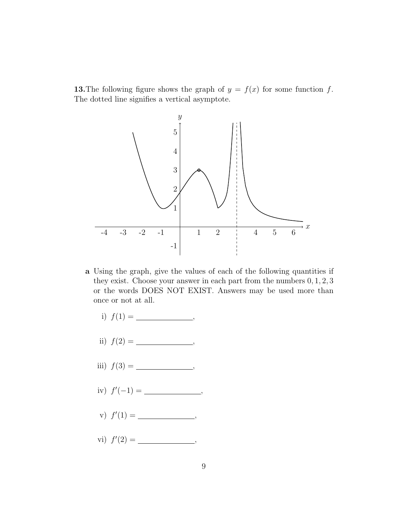13. The following figure shows the graph of  $y = f(x)$  for some function f. The dotted line signifies a vertical asymptote.

![](_page_8_Figure_1.jpeg)

- a Using the graph, give the values of each of the following quantities if they exist. Choose your answer in each part from the numbers 0, 1, 2, 3 or the words DOES NOT EXIST. Answers may be used more than once or not at all.
	- i) f(1) = ,
	- ii) f(2) = ,
	- iii) f(3) = ,
	- iv) f 0 (−1) = ,
	- v) f 0 (1) = ,
	- vi) f 0 (2) = ,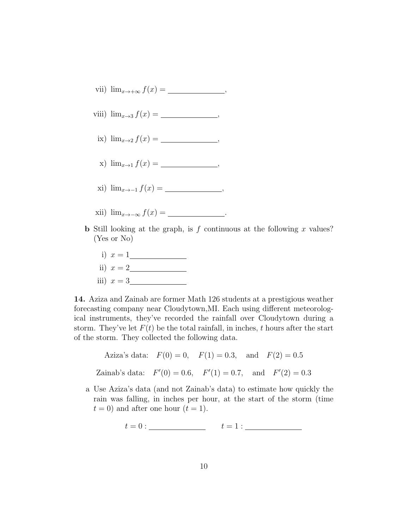- vii)  $\lim_{x\to+\infty} f(x) = \underline{\qquad}$ ,
- viii)  $\lim_{x \to 3} f(x) =$  ,
- ix)  $\lim_{x\to 2} f(x) =$  ,
- x)  $\lim_{x \to 1} f(x) =$  ,
- xi)  $\lim_{x \to -1} f(x) =$ ,
- xii)  $\lim_{x\to-\infty} f(x) =$  .
- **b** Still looking at the graph, is f continuous at the following x values? (Yes or No)
	- i) x = 1 ii)  $x = 2$ iii)  $x = 3$

14. Aziza and Zainab are former Math 126 students at a prestigious weather forecasting company near Cloudytown,MI. Each using different meteorological instruments, they've recorded the rainfall over Cloudytown during a storm. They've let  $F(t)$  be the total rainfall, in inches, t hours after the start of the storm. They collected the following data.

Aziza's data: 
$$
F(0) = 0
$$
,  $F(1) = 0.3$ , and  $F(2) = 0.5$   
Zainab's data:  $F'(0) = 0.6$ ,  $F'(1) = 0.7$ , and  $F'(2) = 0.3$ 

a Use Aziza's data (and not Zainab's data) to estimate how quickly the rain was falling, in inches per hour, at the start of the storm (time  $t = 0$ ) and after one hour  $(t = 1)$ .

$$
t = 0: \underline{\hspace{2cm}} t = 1: \underline{\hspace{2cm}} \underline{\hspace{2cm}}
$$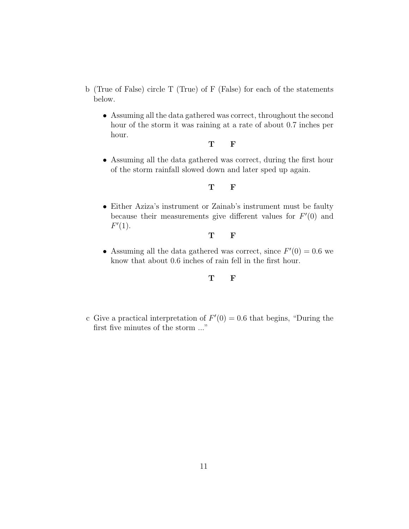- b (True of False) circle T (True) of F (False) for each of the statements below.
	- Assuming all the data gathered was correct, throughout the second hour of the storm it was raining at a rate of about 0.7 inches per hour.

T F

• Assuming all the data gathered was correct, during the first hour of the storm rainfall slowed down and later sped up again.

## T F

• Either Aziza's instrument or Zainab's instrument must be faulty because their measurements give different values for  $F'(0)$  and  $F'(1)$ .

## T F

• Assuming all the data gathered was correct, since  $F'(0) = 0.6$  we know that about 0.6 inches of rain fell in the first hour.

# T F

c Give a practical interpretation of  $F'(0) = 0.6$  that begins, "During the first five minutes of the storm ..."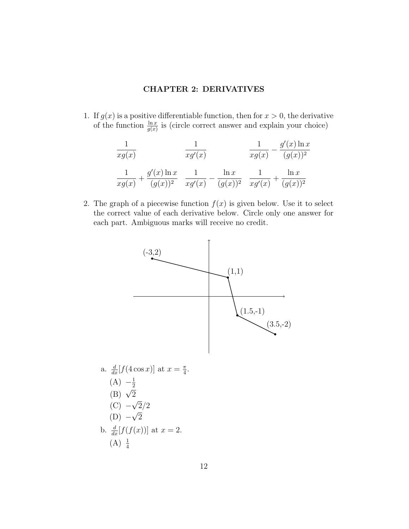## CHAPTER 2: DERIVATIVES

1. If  $g(x)$  is a positive differentiable function, then for  $x > 0$ , the derivative of the function  $\frac{\ln x}{g(x)}$  is (circle correct answer and explain your choice)

$$
\frac{1}{xg(x)} \qquad \frac{1}{xg'(x)} \qquad \frac{1}{xg(x)} - \frac{g'(x)\ln x}{(g(x))^2}
$$
\n
$$
\frac{1}{xg(x)} + \frac{g'(x)\ln x}{(g(x))^2} \quad \frac{1}{xg'(x)} - \frac{\ln x}{(g(x))^2} \quad \frac{1}{xg'(x)} + \frac{\ln x}{(g(x))^2}
$$

2. The graph of a piecewise function  $f(x)$  is given below. Use it to select the correct value of each derivative below. Circle only one answer for each part. Ambiguous marks will receive no credit.

![](_page_11_Figure_4.jpeg)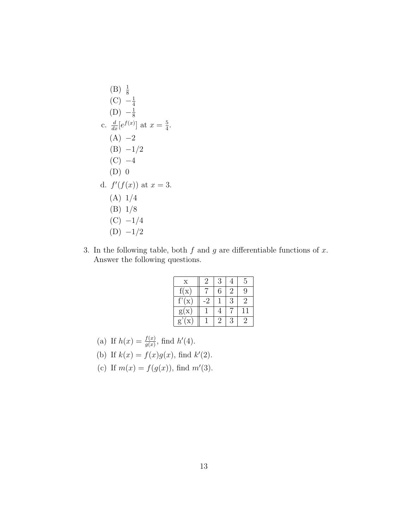(B) 
$$
\frac{1}{8}
$$
  
\n(C)  $-\frac{1}{4}$   
\n(D)  $-\frac{1}{8}$   
\nc.  $\frac{d}{dx}[e^{f(x)}]$  at  $x = \frac{5}{4}$ .  
\n(A) -2  
\n(B) -1/2  
\n(C) -4  
\n(D) 0  
\nd.  $f'(f(x))$  at  $x = 3$ .  
\n(A) 1/4  
\n(B) 1/8  
\n(C) -1/4  
\n(D) -1/2

3. In the following table, both  $f$  and  $g$  are differentiable functions of  $x$ . Answer the following questions.

| $\mathbf x$                  | $\cdot$ | 3  |    | 5            |
|------------------------------|---------|----|----|--------------|
| f(x)                         |         | 6  | '2 | 9            |
| f'(x)                        | $\cdot$ |    | 3  | 2            |
| g(x)                         |         |    |    | 11           |
| $\mathbf{g}$<br>$\mathbf{X}$ |         | '2 | 3  | $\mathbf{z}$ |

- (a) If  $h(x) = \frac{f(x)}{g(x)}$ , find  $h'(4)$ .
- (b) If  $k(x) = f(x)g(x)$ , find  $k'(2)$ .
- (c) If  $m(x) = f(g(x))$ , find  $m'(3)$ .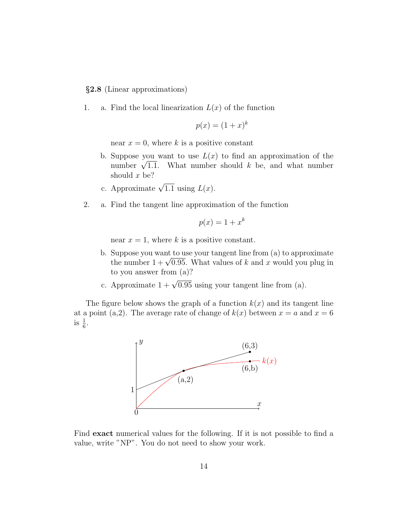§2.8 (Linear approximations)

1. a. Find the local linearization  $L(x)$  of the function

$$
p(x) = (1+x)^k
$$

near  $x = 0$ , where k is a positive constant

- b. Suppose you want to use  $L(x)$  to find an approximation of the Suppose you want to use  $L(x)$  to find an approximation of the<br>number  $\sqrt{1.1}$ . What number should k be, and what number should x be?
- c. Approximate  $\sqrt{1.1}$  using  $L(x)$ .
- 2. a. Find the tangent line approximation of the function

$$
p(x) = 1 + x^k
$$

near  $x = 1$ , where k is a positive constant.

- b. Suppose you want to use your tangent line from (a) to approximate Suppose you want to use your tangent line from (a) to approximate<br>the number  $1 + \sqrt{0.95}$ . What values of k and x would you plug in to you answer from (a)?
- c. Approximate  $1 + \sqrt{0.95}$  using your tangent line from (a).

The figure below shows the graph of a function  $k(x)$  and its tangent line at a point (a,2). The average rate of change of  $k(x)$  between  $x = a$  and  $x = 6$ is  $\frac{1}{6}$ .

![](_page_13_Figure_12.jpeg)

Find exact numerical values for the following. If it is not possible to find a value, write "NP". You do not need to show your work.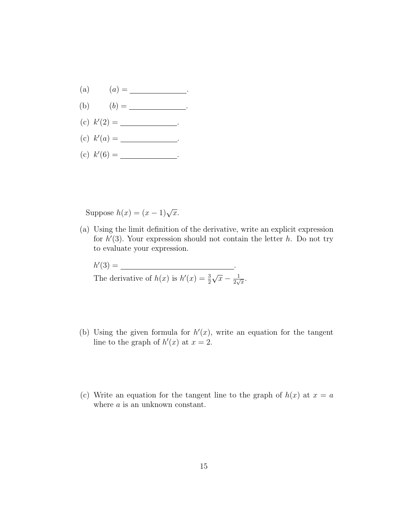- (a)  $(a) =$  ...
- (b)  $(b) =$  ...
- (c)  $k'(2) =$  \_\_\_\_\_\_\_\_\_\_\_\_\_\_\_\_.
- (c)  $k'(a) =$  \_\_\_\_\_\_\_\_\_\_\_\_\_\_\_\_\_\_\_\_\_.
- (c)  $k'(6) =$  \_\_\_\_\_\_\_\_\_\_\_\_\_\_\_\_\_\_\_.

Suppose  $h(x) = (x - 1)\sqrt{x}$ .

(a) Using the limit definition of the derivative, write an explicit expression for  $h'(3)$ . Your expression should not contain the letter h. Do not try to evaluate your expression.

$$
h'(3) = \underline{\hspace{2cm}}.
$$
The derivative of  $h(x)$  is  $h'(x) = \frac{3}{2}\sqrt{x} - \frac{1}{2\sqrt{x}}$ .

- (b) Using the given formula for  $h'(x)$ , write an equation for the tangent line to the graph of  $h'(x)$  at  $x = 2$ .
- (c) Write an equation for the tangent line to the graph of  $h(x)$  at  $x = a$ where  $a$  is an unknown constant.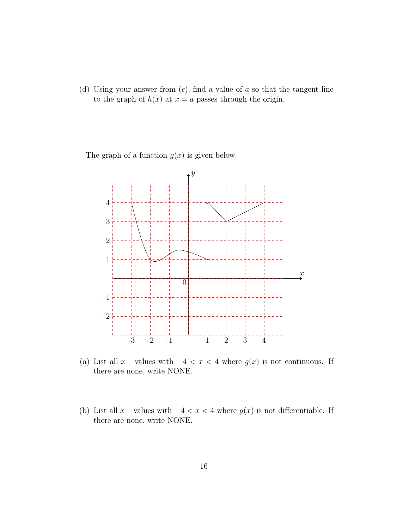(d) Using your answer from  $(c)$ , find a value of a so that the tangent line to the graph of  $h(x)$  at  $x = a$  passes through the origin.

The graph of a function  $g(x)$  is given below.

![](_page_15_Figure_2.jpeg)

(a) List all x- values with  $-4 < x < 4$  where  $g(x)$  is not continuous. If there are none, write NONE.

(b) List all x- values with  $-4 < x < 4$  where  $g(x)$  is not differentiable. If there are none, write NONE.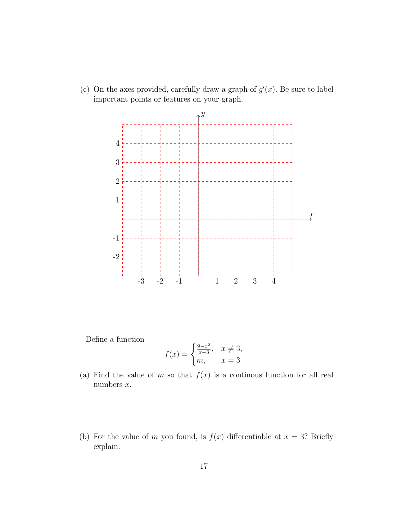(c) On the axes provided, carefully draw a graph of  $g'(x)$ . Be sure to label important points or features on your graph.

![](_page_16_Figure_1.jpeg)

Define a function

$$
f(x) = \begin{cases} \frac{9-x^2}{x-3}, & x \neq 3, \\ m, & x = 3 \end{cases}
$$

- (a) Find the value of m so that  $f(x)$  is a continuous function for all real numbers x.
- (b) For the value of m you found, is  $f(x)$  differentiable at  $x = 3$ ? Briefly explain.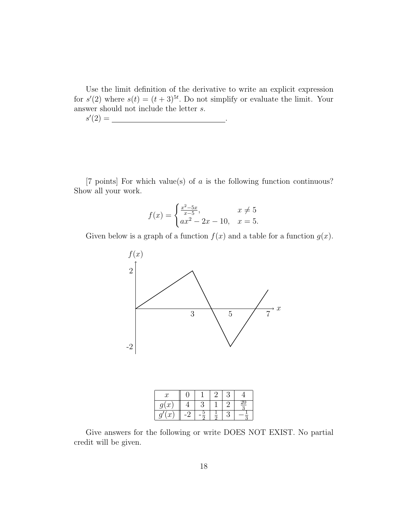Use the limit definition of the derivative to write an explicit expression for  $s'(2)$  where  $s(t) = (t+3)^{5t}$ . Do not simplify or evaluate the limit. Your answer should not include the letter  $s$ .

$$
s'(2) = \underline{\qquad \qquad }
$$

[7 points] For which value(s) of a is the following function continuous? Show all your work.

$$
f(x) = \begin{cases} \frac{x^2 - 5x}{x - 5}, & x \neq 5\\ ax^2 - 2x - 10, & x = 5. \end{cases}
$$

Given below is a graph of a function  $f(x)$  and a table for a function  $g(x)$ .

![](_page_17_Figure_5.jpeg)

| $\boldsymbol{x}$    |  |  |                |
|---------------------|--|--|----------------|
| $\mathfrak{c}$<br>a |  |  | $\frac{20}{9}$ |
| x                   |  |  |                |

Give answers for the following or write DOES NOT EXIST. No partial credit will be given.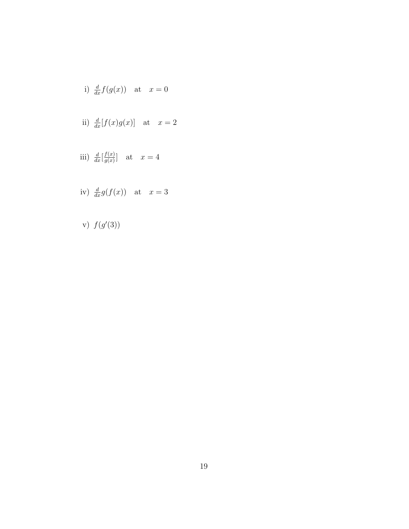i) 
$$
\frac{d}{dx}f(g(x))
$$
 at  $x = 0$ 

ii) 
$$
\frac{d}{dx}[f(x)g(x)]
$$
 at  $x = 2$ 

iii) 
$$
\frac{d}{dx} \left[ \frac{f(x)}{g(x)} \right]
$$
 at  $x = 4$ 

iv) 
$$
\frac{d}{dx}g(f(x))
$$
 at  $x = 3$ 

v)  $f(g'(3))$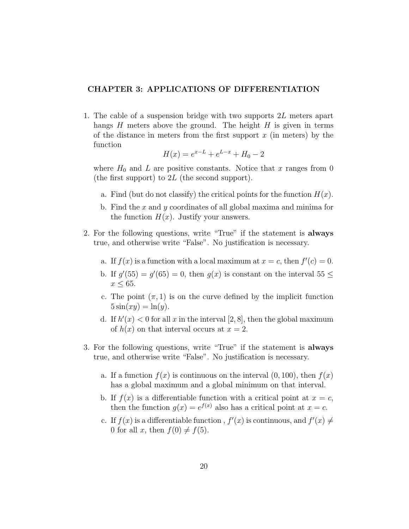## CHAPTER 3: APPLICATIONS OF DIFFERENTIATION

1. The cable of a suspension bridge with two supports 2L meters apart hangs  $H$  meters above the ground. The height  $H$  is given in terms of the distance in meters from the first support  $x$  (in meters) by the function

$$
H(x) = e^{x-L} + e^{L-x} + H_0 - 2
$$

where  $H_0$  and L are positive constants. Notice that x ranges from 0 (the first support) to  $2L$  (the second support).

- a. Find (but do not classify) the critical points for the function  $H(x)$ .
- b. Find the x and y coordinates of all global maxima and minima for the function  $H(x)$ . Justify your answers.
- 2. For the following questions, write "True" if the statement is always true, and otherwise write "False". No justification is necessary.
	- a. If  $f(x)$  is a function with a local maximum at  $x = c$ , then  $f'(c) = 0$ .
	- b. If  $g'(55) = g'(65) = 0$ , then  $g(x)$  is constant on the interval  $55 \le$  $x \leq 65$ .
	- c. The point  $(\pi, 1)$  is on the curve defined by the implicit function  $5\sin(xy) = \ln(y)$ .
	- d. If  $h'(x) < 0$  for all x in the interval [2, 8], then the global maximum of  $h(x)$  on that interval occurs at  $x = 2$ .
- 3. For the following questions, write "True" if the statement is always true, and otherwise write "False". No justification is necessary.
	- a. If a function  $f(x)$  is continuous on the interval  $(0, 100)$ , then  $f(x)$ has a global maximum and a global minimum on that interval.
	- b. If  $f(x)$  is a differentiable function with a critical point at  $x = c$ , then the function  $g(x) = e^{f(x)}$  also has a critical point at  $x = c$ .
	- c. If  $f(x)$  is a differentiable function,  $f'(x)$  is continuous, and  $f'(x) \neq$ 0 for all x, then  $f(0) \neq f(5)$ .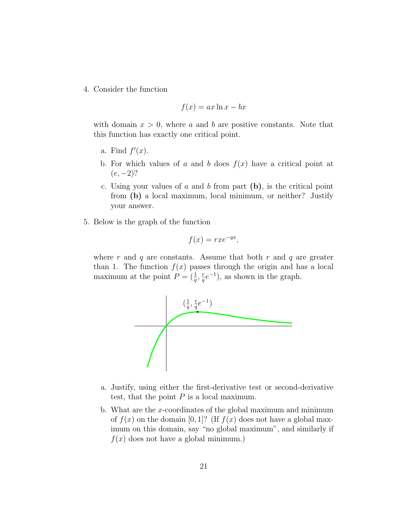4. Consider the function

$$
f(x) = ax \ln x - bx
$$

with domain  $x > 0$ , where a and b are positive constants. Note that this function has exactly one critical point.

- a. Find  $f'(x)$ .
- b. For which values of a and b does  $f(x)$  have a critical point at  $(e, -2)$ ?
- c. Using your values of a and b from part  $(b)$ , is the critical point from (b) a local maximum, local minimum, or neither? Justify your answer.
- 5. Below is the graph of the function

$$
f(x) = rxe^{-qx},
$$

where r and q are constants. Assume that both r and q are greater than 1. The function  $f(x)$  passes through the origin and has a local maximum at the point  $P = (\frac{1}{q}, \frac{r}{q})$  $(\frac{r}{q}e^{-1})$ , as shown in the graph.

![](_page_20_Figure_9.jpeg)

- a. Justify, using either the first-derivative test or second-derivative test, that the point  $P$  is a local maximum.
- b. What are the x-coordinates of the global maximum and minimum of  $f(x)$  on the domain [0, 1]? (If  $f(x)$  does not have a global maximum on this domain, say "no global maximum", and similarly if  $f(x)$  does not have a global minimum.)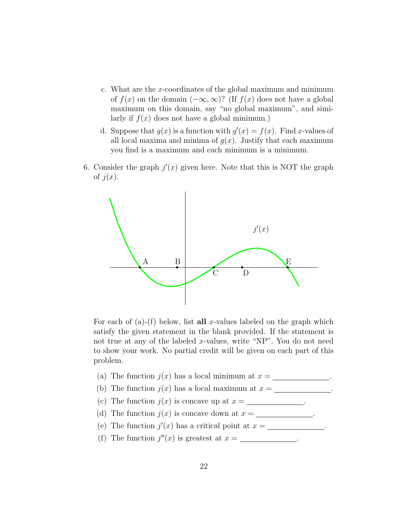- c. What are the x-coordinates of the global maximum and minimum of  $f(x)$  on the domain  $(-\infty,\infty)$ ? (If  $f(x)$  does not have a global maximum on this domain, say "no global maximum", and similarly if  $f(x)$  does not have a global minimum.)
- d. Suppose that  $g(x)$  is a function with  $g'(x) = f(x)$ . Find x-values of all local maxima and minima of  $q(x)$ . Justify that each maximum you find is a maximum and each minimum is a minimum.
- 6. Consider the graph  $j'(x)$  given here. Note that this is NOT the graph of  $j(x)$ .

![](_page_21_Figure_3.jpeg)

For each of (a)-(f) below, list all x-values labeled on the graph which satisfy the given statement in the blank provided. If the statement is not true at any of the labeled x-values, write "NP". You do not need to show your work. No partial credit will be given on each part of this problem.

- (a) The function  $j(x)$  has a local minimum at  $x = \square$
- (b) The function  $j(x)$  has a local maximum at  $x = \underline{\hspace{2cm}}$
- (c) The function  $j(x)$  is concave up at  $x = \underline{\hspace{2cm}}$ .
- (d) The function  $j(x)$  is concave down at  $x =$ .
- (e) The function  $j'(x)$  has a critical point at  $x = \underline{\hspace{2cm}}$ .
- (f) The function  $j''(x)$  is greatest at  $x =$  \_\_\_\_\_\_\_\_\_\_\_\_\_.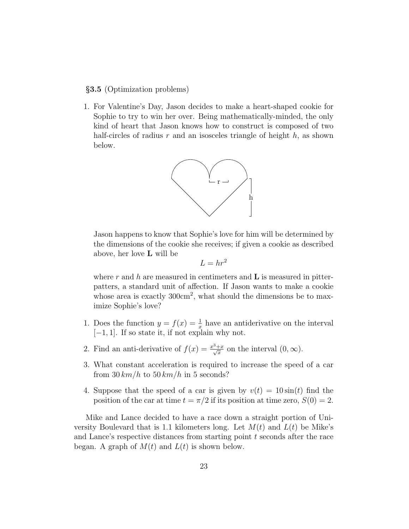#### §3.5 (Optimization problems)

1. For Valentine's Day, Jason decides to make a heart-shaped cookie for Sophie to try to win her over. Being mathematically-minded, the only kind of heart that Jason knows how to construct is composed of two half-circles of radius r and an isosceles triangle of height  $h$ , as shown below.

![](_page_22_Figure_2.jpeg)

Jason happens to know that Sophie's love for him will be determined by the dimensions of the cookie she receives; if given a cookie as described above, her love L will be

$$
L = hr^2
$$

where r and h are measured in centimeters and  $\bf{L}$  is measured in pitterpatters, a standard unit of affection. If Jason wants to make a cookie whose area is exactly  $300 \text{cm}^2$ , what should the dimensions be to maximize Sophie's love?

- 1. Does the function  $y = f(x) = \frac{1}{x}$  have an antiderivative on the interval  $[-1, 1]$ . If so state it, if not explain why not.
- 2. Find an anti-derivative of  $f(x) = \frac{x^3 + x}{\sqrt{x}}$  $\frac{+x}{x}$  on the interval  $(0, \infty)$ .
- 3. What constant acceleration is required to increase the speed of a car from  $30 \, km/h$  to  $50 \, km/h$  in 5 seconds?
- 4. Suppose that the speed of a car is given by  $v(t) = 10\sin(t)$  find the position of the car at time  $t = \pi/2$  if its position at time zero,  $S(0) = 2$ .

Mike and Lance decided to have a race down a straight portion of University Boulevard that is 1.1 kilometers long. Let  $M(t)$  and  $L(t)$  be Mike's and Lance's respective distances from starting point  $t$  seconds after the race began. A graph of  $M(t)$  and  $L(t)$  is shown below.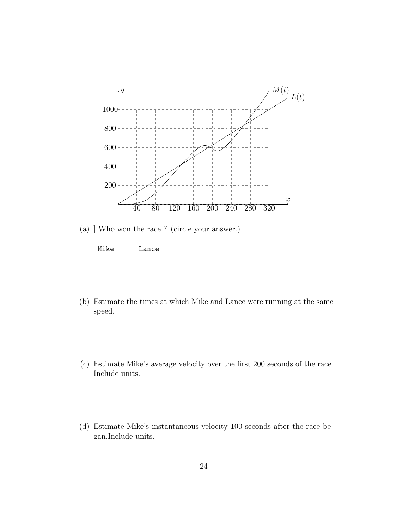![](_page_23_Figure_0.jpeg)

(a) ] Who won the race ? (circle your answer.)

![](_page_23_Figure_2.jpeg)

- (b) Estimate the times at which Mike and Lance were running at the same speed.
- (c) Estimate Mike's average velocity over the first 200 seconds of the race. Include units.
- (d) Estimate Mike's instantaneous velocity 100 seconds after the race began.Include units.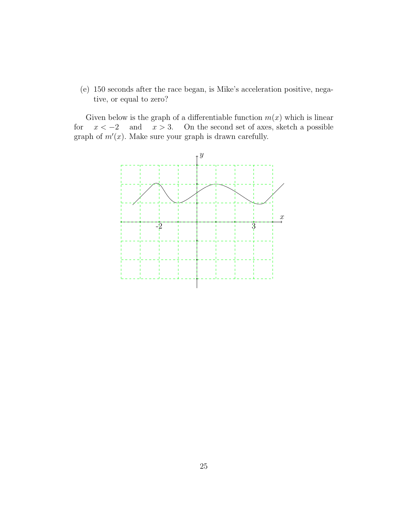(e) 150 seconds after the race began, is Mike's acceleration positive, negative, or equal to zero?

Given below is the graph of a differentiable function  $m(x)$  which is linear for  $x < -2$  and  $x > 3$ . On the second set of axes, sketch a possible graph of  $m'(x)$ . Make sure your graph is drawn carefully.

![](_page_24_Figure_2.jpeg)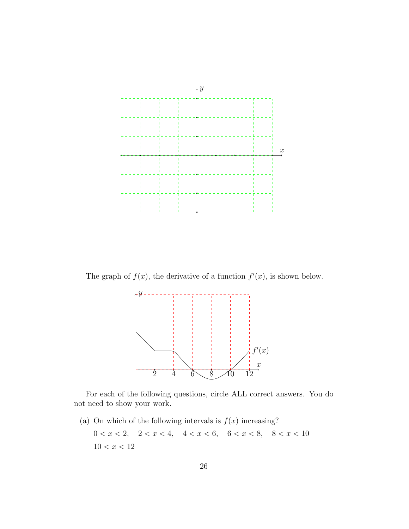![](_page_25_Figure_0.jpeg)

The graph of  $f(x)$ , the derivative of a function  $f'(x)$ , is shown below.

![](_page_25_Figure_2.jpeg)

For each of the following questions, circle ALL correct answers. You do not need to show your work.

(a) On which of the following intervals is  $f(x)$  increasing?  $0 < x < 2, \quad 2 < x < 4, \quad 4 < x < 6, \quad 6 < x < 8, \quad 8 < x < 10$  $10 < x < 12$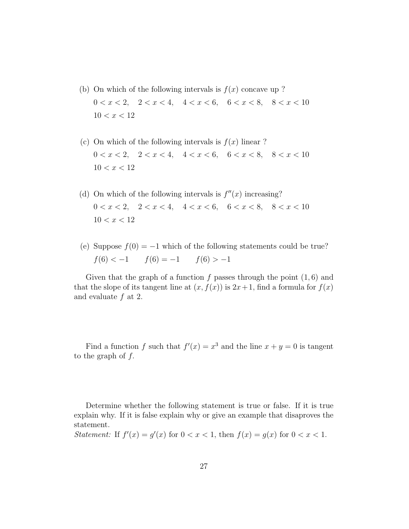- (b) On which of the following intervals is  $f(x)$  concave up ?  $0 < x < 2, \quad 2 < x < 4, \quad 4 < x < 6, \quad 6 < x < 8, \quad 8 < x < 10$  $10 < x < 12$
- (c) On which of the following intervals is  $f(x)$  linear ?  $0 < x < 2, \quad 2 < x < 4, \quad 4 < x < 6, \quad 6 < x < 8, \quad 8 < x < 10$  $10 < x < 12$
- (d) On which of the following intervals is  $f''(x)$  increasing?  $0 < x < 2, \quad 2 < x < 4, \quad 4 < x < 6, \quad 6 < x < 8, \quad 8 < x < 10$  $10 < x < 12$
- (e) Suppose  $f(0) = -1$  which of the following statements could be true?  $f(6) < -1$   $f(6) = -1$   $f(6) > -1$

Given that the graph of a function f passes through the point  $(1, 6)$  and that the slope of its tangent line at  $(x, f(x))$  is  $2x+1$ , find a formula for  $f(x)$ and evaluate  $f$  at 2.

Find a function f such that  $f'(x) = x^3$  and the line  $x + y = 0$  is tangent to the graph of  $f$ .

Determine whether the following statement is true or false. If it is true explain why. If it is false explain why or give an example that disaproves the statement.

Statement: If  $f'(x) = g'(x)$  for  $0 < x < 1$ , then  $f(x) = g(x)$  for  $0 < x < 1$ .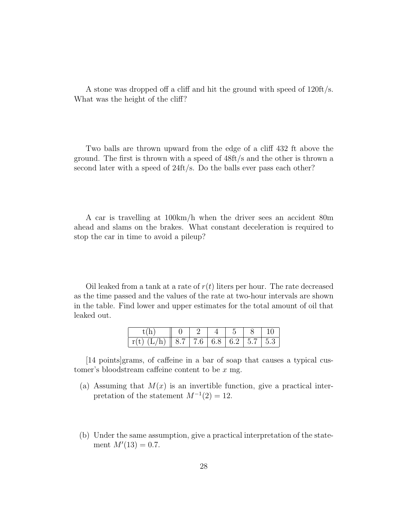A stone was dropped off a cliff and hit the ground with speed of 120ft/s. What was the height of the cliff?

Two balls are thrown upward from the edge of a cliff 432 ft above the ground. The first is thrown with a speed of 48ft/s and the other is thrown a second later with a speed of 24ft/s. Do the balls ever pass each other?

A car is travelling at 100km/h when the driver sees an accident 80m ahead and slams on the brakes. What constant deceleration is required to stop the car in time to avoid a pileup?

Oil leaked from a tank at a rate of  $r(t)$  liters per hour. The rate decreased as the time passed and the values of the rate at two-hour intervals are shown in the table. Find lower and upper estimates for the total amount of oil that leaked out.

| r(t) (L/h)    8.7    7.6    6.8    6.2    5.7    5.3 |  |  |  |
|------------------------------------------------------|--|--|--|

[14 points]grams, of caffeine in a bar of soap that causes a typical customer's bloodstream caffeine content to be x mg.

- (a) Assuming that  $M(x)$  is an invertible function, give a practical interpretation of the statement  $M^{-1}(2) = 12$ .
- (b) Under the same assumption, give a practical interpretation of the statement  $M'(13) = 0.7$ .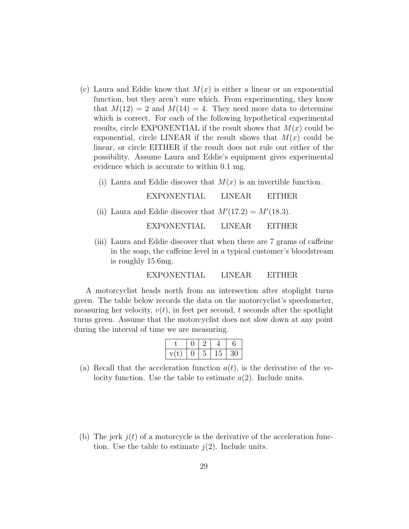- (c) Laura and Eddie know that  $M(x)$  is either a linear or an exponential function, but they aren't sure which. From experimenting, they know that  $M(12) = 2$  and  $M(14) = 4$ . They need more data to determine which is correct. For each of the following hypothetical experimental results, circle EXPONENTIAL if the result shows that  $M(x)$  could be exponential, circle LINEAR if the result shows that  $M(x)$  could be linear, or circle EITHER if the result does not rule out either of the possibility. Assume Laura and Eddie's equipment gives experimental evidence which is accurate to within 0.1 mg.
	- (i) Laura and Eddie discover that  $M(x)$  is an invertible function.

EXPONENTIAL LINEAR EITHER (ii) Laura and Eddie discover that  $M'(17.2) = M'(18.3)$ . EXPONENTIAL LINEAR EITHER

(iii) Laura and Eddie discover that when there are 7 grams of caffeine in the soap, the caffeine level in a typical customer's bloodstream is roughly 15.6mg.

EXPONENTIAL LINEAR EITHER

A motorcyclist heads north from an intersection after stoplight turns green. The table below records the data on the motorcyclist's speedometer, measuring her velocity,  $v(t)$ , in feet per second, t seconds after the spotlight turns green. Assume that the motorcyclist does not slow down at any point during the interval of time we are measuring.

|  | 45 |  |
|--|----|--|

- (a) Recall that the acceleration function  $a(t)$ , is the derivative of the velocity function. Use the table to estimate  $a(2)$ . Include units.
- (b) The jerk  $j(t)$  of a motorcycle is the derivative of the acceleration function. Use the table to estimate  $j(2)$ . Include units.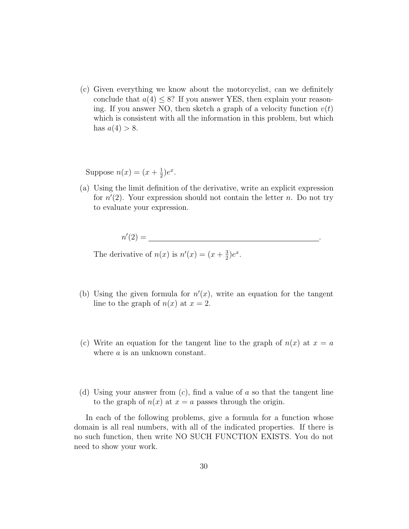(c) Given everything we know about the motorcyclist, can we definitely conclude that  $a(4) \leq 8$ ? If you answer YES, then explain your reasoning. If you answer NO, then sketch a graph of a velocity function  $v(t)$ which is consistent with all the information in this problem, but which has  $a(4) > 8$ .

Suppose  $n(x) = (x + \frac{1}{2})$  $(\frac{1}{2})e^x$ .

(a) Using the limit definition of the derivative, write an explicit expression for  $n'(2)$ . Your expression should not contain the letter n. Do not try to evaluate your expression.

$$
n'(2) = \underline{\hspace{2cm}} \underline{\hspace{2cm}} \underline{\hspace{2cm}} \underline{\hspace{2cm}} \underline{\hspace{2cm}} \underline{\hspace{2cm}} \underline{\hspace{2cm}} \underline{\hspace{2cm}} \underline{\hspace{2cm}} \underline{\hspace{2cm}} \underline{\hspace{2cm}} \underline{\hspace{2cm}} \underline{\hspace{2cm}} \underline{\hspace{2cm}} \underline{\hspace{2cm}} \underline{\hspace{2cm}} \underline{\hspace{2cm}} \underline{\hspace{2cm}} \underline{\hspace{2cm}} \underline{\hspace{2cm}} \underline{\hspace{2cm}} \underline{\hspace{2cm}} \underline{\hspace{2cm}} \underline{\hspace{2cm}} \underline{\hspace{2cm}} \underline{\hspace{2cm}} \underline{\hspace{2cm}} \underline{\hspace{2cm}} \underline{\hspace{2cm}} \underline{\hspace{2cm}} \underline{\hspace{2cm}} \underline{\hspace{2cm}} \underline{\hspace{2cm}} \underline{\hspace{2cm}} \underline{\hspace{2cm}} \underline{\hspace{2cm}} \underline{\hspace{2cm}} \underline{\hspace{2cm}} \underline{\hspace{2cm}} \underline{\hspace{2cm}} \underline{\hspace{2cm}} \underline{\hspace{2cm}} \underline{\hspace{2cm}} \underline{\hspace{2cm}} \underline{\hspace{2cm}} \underline{\hspace{2cm}} \underline{\hspace{2cm}} \underline{\hspace{2cm}} \underline{\hspace{2cm}} \underline{\hspace{2cm}} \underline{\hspace{2cm}} \underline{\hspace{2cm}} \underline{\hspace{2cm}} \underline{\hspace{2cm}} \underline{\hspace{2cm}} \underline{\hspace{2cm}} \underline{\hspace{2cm}} \underline{\hspace{2cm}} \underline{\hspace{2cm}} \underline{\hspace{2cm}} \underline{\hspace{2cm}} \underline{\hspace{2cm}} \underline{\hspace{2cm}} \underline{\hspace{2cm}} \underline{\hspace{2cm}} \underline{\hspace{2cm}} \underline{\hspace{2cm}} \underline{\hspace{2cm}} \underline{\hspace{2cm}} \underline{\hspace{2cm}} \underline{\hspace{2cm}} \underline{\hspace{2cm}} \underline{\hspace{2cm}} \underline{\hspace{2cm}} \underline{\hspace{2cm}} \underline{\hspace{2cm}} \underline{\hspace{2cm}} \underline{\hspace{2cm}} \underline{\hspace{2cm}} \underline{\hspace{2cm}} \underline{\hspace{2cm}} \underline{\hspace{2cm}} \underline{\hspace{2cm}} \underline{\hspace{2
$$

The derivative of  $n(x)$  is  $n'(x) = (x + \frac{3}{2})$  $\frac{3}{2}$ ) $e^x$ .

- (b) Using the given formula for  $n'(x)$ , write an equation for the tangent line to the graph of  $n(x)$  at  $x = 2$ .
- (c) Write an equation for the tangent line to the graph of  $n(x)$  at  $x = a$ where *a* is an unknown constant.
- (d) Using your answer from  $(c)$ , find a value of a so that the tangent line to the graph of  $n(x)$  at  $x = a$  passes through the origin.

In each of the following problems, give a formula for a function whose domain is all real numbers, with all of the indicated properties. If there is no such function, then write NO SUCH FUNCTION EXISTS. You do not need to show your work.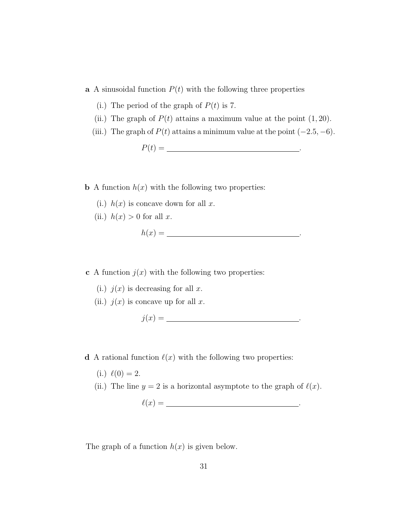a A sinusoidal function  $P(t)$  with the following three properties

- (i.) The period of the graph of  $P(t)$  is 7.
- (ii.) The graph of  $P(t)$  attains a maximum value at the point  $(1, 20)$ .
- (iii.) The graph of  $P(t)$  attains a minimum value at the point  $(-2.5, -6)$ .

P(t) = .

**b** A function  $h(x)$  with the following two properties:

- (i.)  $h(x)$  is concave down for all x.
- (ii.)  $h(x) > 0$  for all x.

$$
h(x) = \underline{\hspace{2cm}}.
$$

**c** A function  $j(x)$  with the following two properties:

- (i.)  $j(x)$  is decreasing for all x.
- (ii.)  $j(x)$  is concave up for all x.

$$
j(x) = \underline{\hspace{2cm}}.
$$

**d** A rational function  $\ell(x)$  with the following two properties:

- $(i.) \ell(0) = 2.$
- (ii.) The line  $y = 2$  is a horizontal asymptote to the graph of  $\ell(x)$ .
	- $\ell(x) =$  .

The graph of a function  $h(x)$  is given below.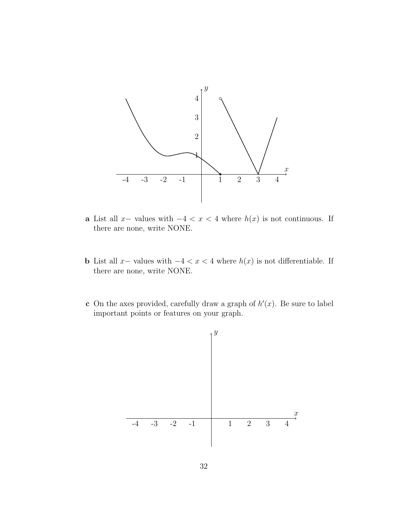![](_page_31_Figure_0.jpeg)

- a List all x- values with  $-4 < x < 4$  where  $h(x)$  is not continuous. If there are none, write NONE.
- b List all x– values with  $-4 < x < 4$  where  $h(x)$  is not differentiable. If there are none, write NONE.
- c On the axes provided, carefully draw a graph of  $h'(x)$ . Be sure to label important points or features on your graph.

![](_page_31_Figure_4.jpeg)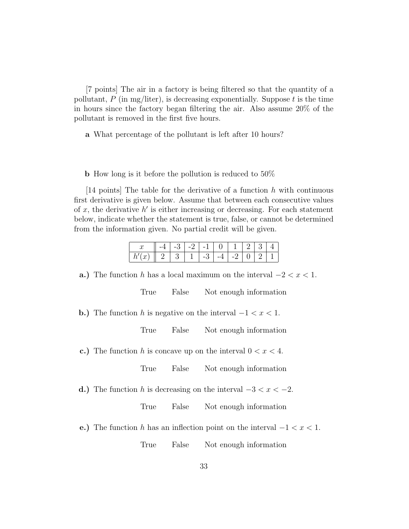[7 points] The air in a factory is being filtered so that the quantity of a pollutant,  $P$  (in mg/liter), is decreasing exponentially. Suppose t is the time in hours since the factory began filtering the air. Also assume 20% of the pollutant is removed in the first five hours.

a What percentage of the pollutant is left after 10 hours?

b How long is it before the pollution is reduced to 50%

[14 points] The table for the derivative of a function  $h$  with continuous first derivative is given below. Assume that between each consecutive values of  $x$ , the derivative  $h'$  is either increasing or decreasing. For each statement below, indicate whether the statement is true, false, or cannot be determined from the information given. No partial credit will be given.

|   |  | $\sim$ 1 |  |  |  |
|---|--|----------|--|--|--|
| u |  |          |  |  |  |

a.) The function h has a local maximum on the interval  $-2 < x < 1$ .

True False Not enough information

**b.**) The function h is negative on the interval  $-1 < x < 1$ .

True False Not enough information

c.) The function h is concave up on the interval  $0 < x < 4$ .

True False Not enough information

d.) The function h is decreasing on the interval  $-3 < x < -2$ .

True False Not enough information

e.) The function h has an inflection point on the interval  $-1 < x < 1$ .

True False Not enough information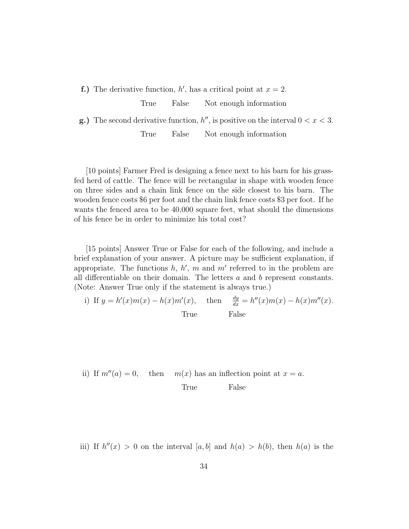**f.**) The derivative function,  $h'$ , has a critical point at  $x = 2$ .

True False Not enough information

**g.**) The second derivative function,  $h''$ , is positive on the interval  $0 < x < 3$ . True False Not enough information

[10 points] Farmer Fred is designing a fence next to his barn for his grassfed herd of cattle. The fence will be rectangular in shape with wooden fence on three sides and a chain link fence on the side closest to his barn. The wooden fence costs \$6 per foot and the chain link fence costs \$3 per foot. If he wants the fenced area to be 40,000 square feet, what should the dimensions of his fence be in order to minimize his total cost?

[15 points] Answer True or False for each of the following, and include a brief explanation of your answer. A picture may be sufficient explanation, if appropriate. The functions  $h, h', m$  and  $m'$  referred to in the problem are all differentiable on their domain. The letters  $a$  and  $b$  represent constants. (Note: Answer True only if the statement is always true.)

i) If 
$$
y = h'(x)m(x) - h(x)m'(x)
$$
, then  $\frac{dy}{dx} = h''(x)m(x) - h(x)m''(x)$ .  
True  
False

ii) If 
$$
m''(a) = 0
$$
, then  $m(x)$  has an inflection point at  $x = a$ .  
True False

iii) If  $h''(x) > 0$  on the interval  $[a, b]$  and  $h(a) > h(b)$ , then  $h(a)$  is the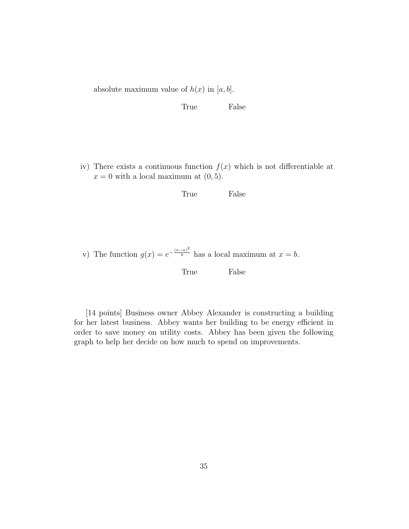absolute maximum value of  $h(x)$  in [a, b].

True False

iv) There exists a continuous function  $f(x)$  which is not differentiable at  $x = 0$  with a local maximum at  $(0, 5)$ .

True False

v) The function  $g(x) = e^{-\frac{(x-a)^2}{b}}$  has a local maximum at  $x = b$ .

True False

[14 points] Business owner Abbey Alexander is constructing a building for her latest business. Abbey wants her building to be energy efficient in order to save money on utility costs. Abbey has been given the following graph to help her decide on how much to spend on improvements.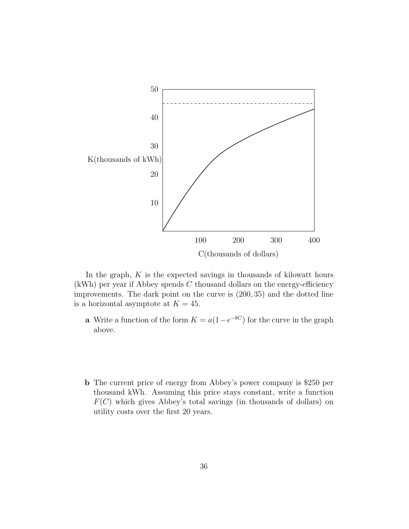![](_page_35_Figure_0.jpeg)

In the graph,  $K$  is the expected savings in thousands of kilowatt hours  $(kWh)$  per year if Abbey spends C thousand dollars on the energy-efficiency improvements. The dark point on the curve is (200, 35) and the dotted line is a horizontal asymptote at  $K = 45$ .

- **a** Write a function of the form  $K = a(1 e^{-bC})$  for the curve in the graph above.
- b The current price of energy from Abbey's power company is \$250 per thousand kWh. Assuming this price stays constant, write a function  $F(C)$  which gives Abbey's total savings (in thousands of dollars) on utility costs over the first 20 years.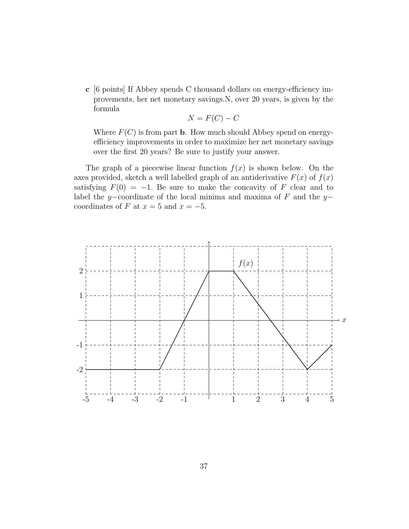c [6 points] If Abbey spends C thousand dollars on energy-efficiency improvements, her net monetary savings.N, over 20 years, is given by the formula

$$
N = F(C) - C
$$

Where  $F(C)$  is from part **b**. How much should Abbey spend on energyefficiency improvements in order to maximize her net monetary savings over the first 20 years? Be sure to justify your answer.

The graph of a piecewise linear function  $f(x)$  is shown below. On the axes provided, sketch a well labelled graph of an antiderivative  $F(x)$  of  $f(x)$ satisfying  $F(0) = -1$ . Be sure to make the concavity of F clear and to label the y–coordinate of the local minima and maxima of  $F$  and the y– coordinates of F at  $x = 5$  and  $x = -5$ .

![](_page_36_Figure_4.jpeg)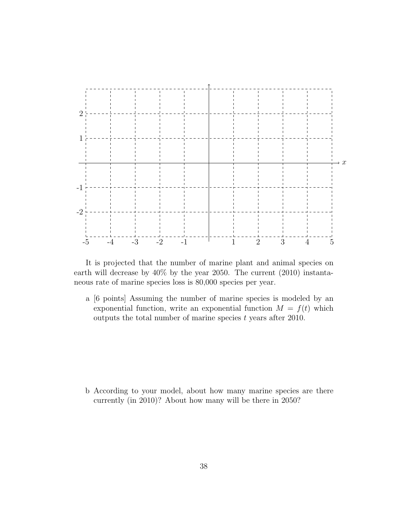![](_page_37_Figure_0.jpeg)

It is projected that the number of marine plant and animal species on earth will decrease by 40% by the year 2050. The current (2010) instantaneous rate of marine species loss is 80,000 species per year.

a [6 points] Assuming the number of marine species is modeled by an exponential function, write an exponential function  $M = f(t)$  which outputs the total number of marine species  $t$  years after 2010.

b According to your model, about how many marine species are there currently (in 2010)? About how many will be there in 2050?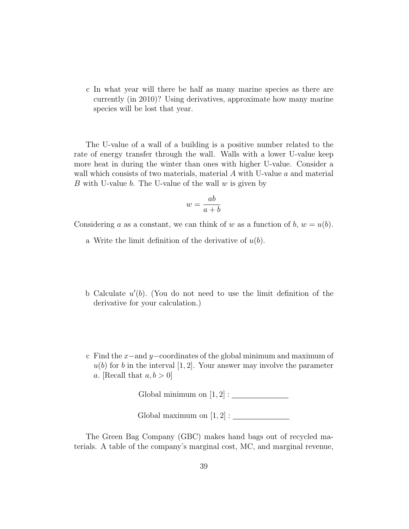c In what year will there be half as many marine species as there are currently (in 2010)? Using derivatives, approximate how many marine species will be lost that year.

The U-value of a wall of a building is a positive number related to the rate of energy transfer through the wall. Walls with a lower U-value keep more heat in during the winter than ones with higher U-value. Consider a wall which consists of two materials, material A with U-value a and material B with U-value b. The U-value of the wall  $w$  is given by

$$
w = \frac{ab}{a+b}
$$

Considering a as a constant, we can think of w as a function of b,  $w = u(b)$ .

- a Write the limit definition of the derivative of  $u(b)$ .
- b Calculate  $u'(b)$ . (You do not need to use the limit definition of the derivative for your calculation.)
- c Find the x−and y−coordinates of the global minimum and maximum of  $u(b)$  for b in the interval [1, 2]. Your answer may involve the parameter a. [Recall that  $a, b > 0$ ]

Global minimum on  $[1, 2] : \_$ 

Global maximum on  $[1,2]$  :  $\begin{tabular}{|c|c|c|} \hline \rule{0pt}{3ex} \multicolumn{3}{c|}{\textbf{1}}\\ \hline \end{tabular}$ 

The Green Bag Company (GBC) makes hand bags out of recycled materials. A table of the company's marginal cost, MC, and marginal revenue,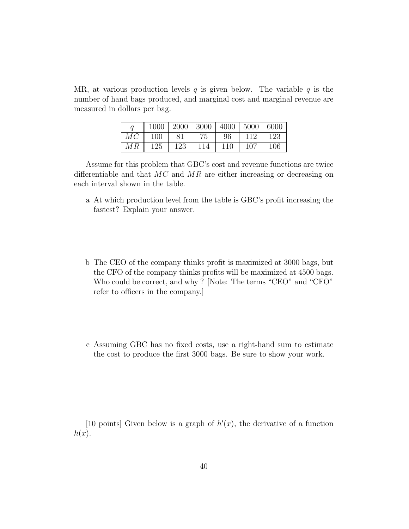MR, at various production levels q is given below. The variable q is the number of hand bags produced, and marginal cost and marginal revenue are measured in dollars per bag.

|                    |     | $1000$   2000   3000   4000   5000   6000 |       |     |       |
|--------------------|-----|-------------------------------------------|-------|-----|-------|
| $MC \parallel 100$ | -81 | 75                                        | -96   | 112 | - 123 |
| $MR \parallel 125$ | 123 | 114                                       | $110$ | 107 | 106   |

Assume for this problem that GBC's cost and revenue functions are twice differentiable and that  $MC$  and  $MR$  are either increasing or decreasing on each interval shown in the table.

- a At which production level from the table is GBC's profit increasing the fastest? Explain your answer.
- b The CEO of the company thinks profit is maximized at 3000 bags, but the CFO of the company thinks profits will be maximized at 4500 bags. Who could be correct, and why ? [Note: The terms "CEO" and "CFO" refer to officers in the company.]
- c Assuming GBC has no fixed costs, use a right-hand sum to estimate the cost to produce the first 3000 bags. Be sure to show your work.

[10 points] Given below is a graph of  $h'(x)$ , the derivative of a function  $h(x)$ .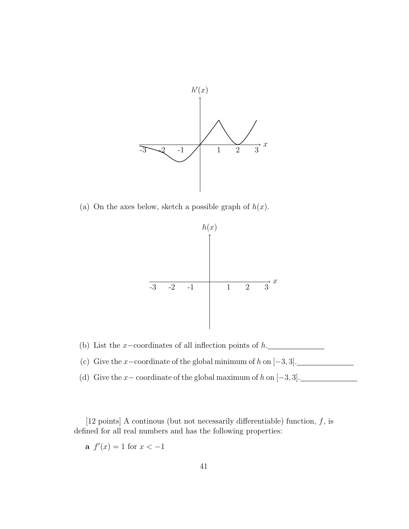![](_page_40_Figure_0.jpeg)

(a) On the axes below, sketch a possible graph of  $h(x)$ .

![](_page_40_Figure_2.jpeg)

(b) List the x-coordinates of all inflection points of  $h$ .

- (c) Give the x-coordinate of the global minimum of  $h$  on  $[-3, 3]$ .
- (d) Give the  $x-$  coordinate of the global maximum of  $h$  on  $[-3, 3]$ .

[12 points] A continous (but not necessarily differentiable) function,  $f$ , is defined for all real numbers and has the following properties:

**a**  $f'(x) = 1$  for  $x < -1$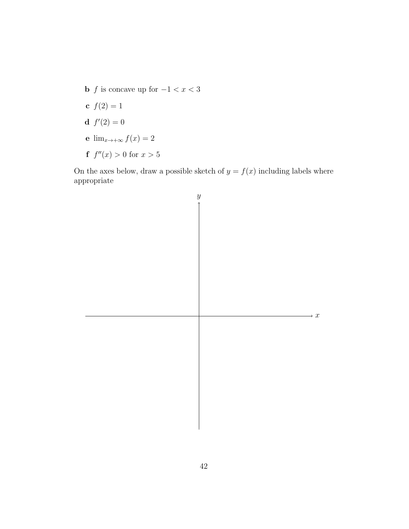- **b**  $f$  is concave up for  $-1 < x < 3$
- c  $f(2) = 1$
- **d**  $f'(2) = 0$
- e  $\lim_{x\to+\infty}f(x)=2$
- **f**  $f''(x) > 0$  for  $x > 5$

On the axes below, draw a possible sketch of  $y = f(x)$  including labels where appropriate

![](_page_41_Figure_6.jpeg)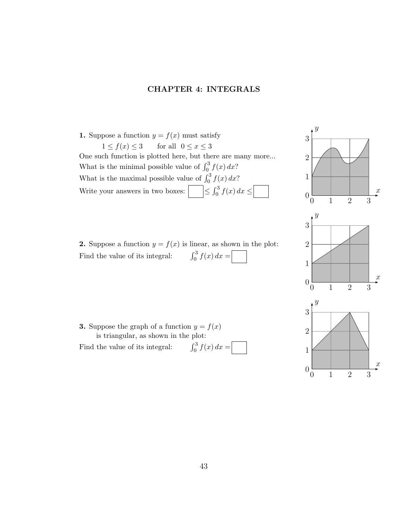## CHAPTER 4: INTEGRALS

- 1. Suppose a function  $y = f(x)$  must satisfy  $1 \le f(x) \le 3$  for all  $0 \le x \le 3$ One such function is plotted here, but there are many more... What is the minimal possible value of  $\int_0^3 f(x) dx$ ? What is the maximal possible value of  $\int_0^3 f(x) dx$ ? Write your answers in two boxes:  $\boxed{\phantom{\big|}} \leq \int_0^3 f(x) dx \leq \boxed{\phantom{\big|}}$
- $\boldsymbol{y}$ 0 1 2 3  $0\frac{L}{0}$ 1 2 3  $\ddot{x}$  $\mathcal{Y}$ 0 1 2 3  $0\frac{L}{0}$ 1 2 3  $\boldsymbol{x}$  $\boldsymbol{y}$ 0 1 2 3  $0\frac{L}{0}$ 1 2 3
- **2.** Suppose a function  $y = f(x)$  is linear, as shown in the plot: Find the value of its integral: R <sup>3</sup>  $\int_{0}^{3} f(x) dx =$

**3.** Suppose the graph of a function  $y = f(x)$ is triangular, as shown in the plot:

Find the value of its integral: R <sup>3</sup>  $\int_{0}^{\infty} f(x) dx =$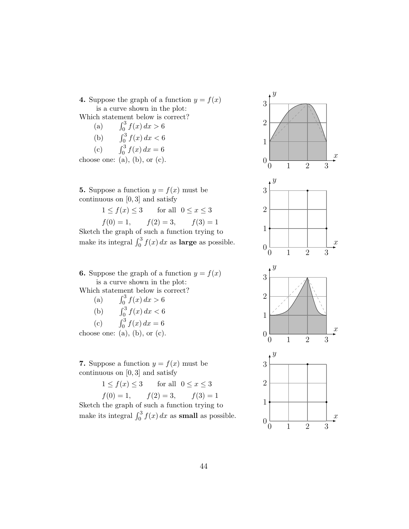**4.** Suppose the graph of a function  $y = f(x)$ is a curve shown in the plot: Which statement below is correct?

(a)  $\int_0^3 f(x) \, dx > 6$ (b)  $\int_0^3 f(x) \, dx < 6$ (c)  $\int_0^3 f(x) \, dx = 6$ 

choose one: (a), (b), or  $(c)$ .

**5.** Suppose a function  $y = f(x)$  must be continuous on [0 , 3] and satisfy

 $1 \le f(x) \le 3$  for all  $0 \le x \le 3$  $f(0) = 1,$   $f(2) = 3,$   $f(3) = 1$ Sketch the graph of such a function trying to

make its integral  $\int_0^3 f(x) dx$  as **large** as possible.

**6.** Suppose the graph of a function  $y = f(x)$ is a curve shown in the plot: Which statement below is correct?

(a)  $\int_0^3 f(x) dx > 6$ (b)  $\int_0^3 f(x) dx < 6$ (c)  $\int_0^3 f(x) dx = 6$ 

choose one:  $(a)$ ,  $(b)$ , or  $(c)$ .

7. Suppose a function  $y = f(x)$  must be continuous on  $[0,3]$  and satisfy

> $1 \le f(x) \le 3$  for all  $0 \le x \le 3$  $f(0) = 1,$   $f(2) = 3,$   $f(3) = 1$

Sketch the graph of such a function trying to make its integral  $\int_0^3 f(x) dx$  as **small** as possible.

![](_page_43_Figure_12.jpeg)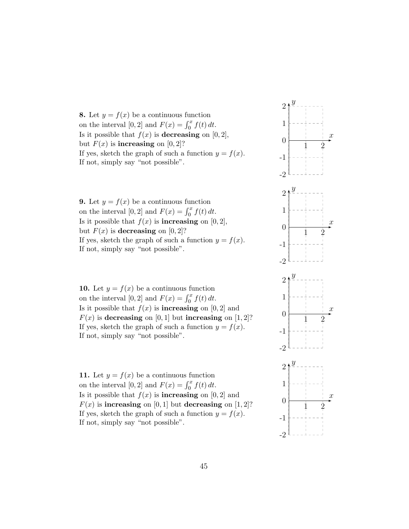8. Let  $y = f(x)$  be a continuous function on the interval  $[0,2]$  and  $F(x) = \int_0^x f(t) dt$ . Is it possible that  $f(x)$  is **decreasing** on [0, 2], but  $F(x)$  is **increasing** on [0, 2]? If yes, sketch the graph of such a function  $y = f(x)$ . If not, simply say "not possible".

**9.** Let  $y = f(x)$  be a continuous function on the interval [0, 2] and  $F(x) = \int_0^x f(t) dt$ . Is it possible that  $f(x)$  is **increasing** on [0, 2], but  $F(x)$  is decreasing on [0, 2]? If yes, sketch the graph of such a function  $y = f(x)$ . If not, simply say "not possible".

10. Let  $y = f(x)$  be a continuous function on the interval  $[0,2]$  and  $F(x) = \int_0^x f(t) dt$ . Is it possible that  $f(x)$  is **increasing** on [0, 2] and  $F(x)$  is decreasing on [0, 1] but increasing on [1, 2]? If yes, sketch the graph of such a function  $y = f(x)$ . If not, simply say "not possible".

11. Let  $y = f(x)$  be a continuous function on the interval [0, 2] and  $F(x) = \int_0^x f(t) dt$ . Is it possible that  $f(x)$  is **increasing** on [0, 2] and  $F(x)$  is increasing on [0, 1] but decreasing on [1, 2]? If yes, sketch the graph of such a function  $y = f(x)$ . If not, simply say "not possible".

![](_page_44_Figure_4.jpeg)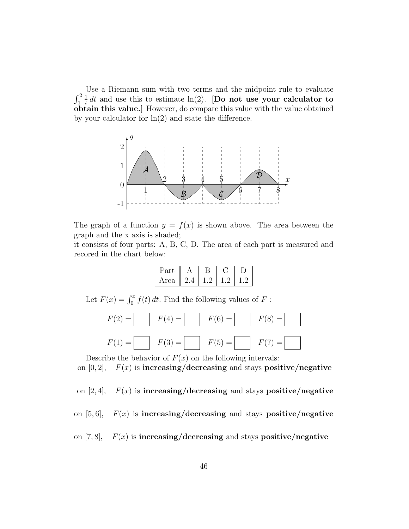Use a Riemann sum with two terms and the midpoint rule to evaluate  $\int_1^2$ 1  $\frac{1}{t}$  dt and use this to estimate ln(2). [Do not use your calculator to obtain this value.] However, do compare this value with the value obtained by your calculator for  $\ln(2)$  and state the difference.

![](_page_45_Figure_1.jpeg)

The graph of a function  $y = f(x)$  is shown above. The area between the graph and the x axis is shaded;

it consists of four parts: A, B, C, D. The area of each part is measured and recored in the chart below:

| ∽arı |  |  |
|------|--|--|
| Area |  |  |

Let  $F(x) = \int_0^x f(t) dt$ . Find the following values of F:

| $F(2) = \begin{bmatrix} F(4) = \end{bmatrix}$ $F(6) = \begin{bmatrix} F(8) = \end{bmatrix}$ |  |
|---------------------------------------------------------------------------------------------|--|
| $F(1) = \begin{bmatrix} F(3) = \end{bmatrix}$ $F(5) = \begin{bmatrix} F(7) = \end{bmatrix}$ |  |

Describe the behavior of  $F(x)$  on the following intervals:

on  $[0, 2]$ ,  $F(x)$  is increasing/decreasing and stays positive/negative

on  $[2, 4]$ ,  $F(x)$  is increasing/decreasing and stays positive/negative

on  $[5, 6]$ ,  $F(x)$  is increasing/decreasing and stays positive/negative

on [7,8],  $F(x)$  is increasing/decreasing and stays positive/negative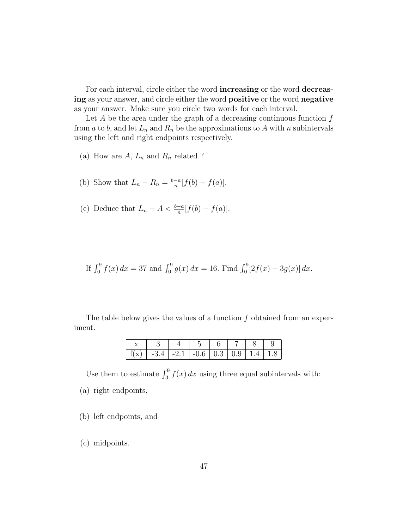For each interval, circle either the word increasing or the word decreasing as your answer, and circle either the word positive or the word negative as your answer. Make sure you circle two words for each interval.

Let  $A$  be the area under the graph of a decreasing continuous function  $f$ from a to b, and let  $L_n$  and  $R_n$  be the approximations to A with n subintervals using the left and right endpoints respectively.

(a) How are  $A, L_n$  and  $R_n$  related ?

(b) Show that 
$$
L_n - R_n = \frac{b-a}{n} [f(b) - f(a)].
$$

(c) Deduce that 
$$
L_n - A < \frac{b-a}{n} [f(b) - f(a)].
$$

If 
$$
\int_0^9 f(x) dx = 37
$$
 and  $\int_0^9 g(x) dx = 16$ . Find  $\int_0^9 [2f(x) - 3g(x)] dx$ .

The table below gives the values of a function  $f$  obtained from an experiment.

| $\mid f(x) \mid -3.4 \mid -2.1 \mid -0.6 \mid 0.3 \mid 0.9 \mid 1.4 \mid 1.8 \mid$ |  |  |  |  |
|------------------------------------------------------------------------------------|--|--|--|--|

Use them to estimate  $\int_3^9 f(x) dx$  using three equal subintervals with: (a) right endpoints,

- (b) left endpoints, and
- (c) midpoints.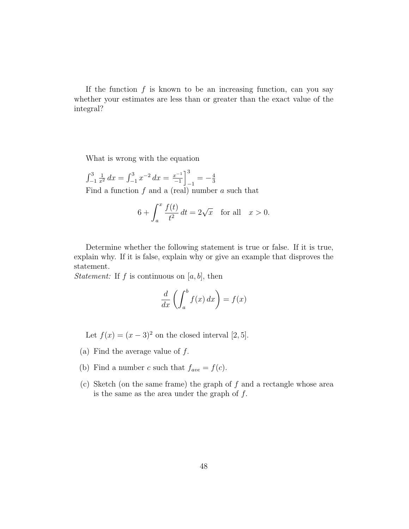If the function  $f$  is known to be an increasing function, can you say whether your estimates are less than or greater than the exact value of the integral?

What is wrong with the equation

 $\int_{-1}^{3}$  $\frac{1}{x^2} dx = \int_{-1}^{3} x^{-2} dx = \frac{x^{-1}}{-1}$  $\left[\frac{x-1}{-1}\right]^3$  $\frac{1}{-1} = -\frac{4}{3}$ 3 Find a function  $f$  and a (real) number  $a$  such that

$$
6 + \int_a^x \frac{f(t)}{t^2} dt = 2\sqrt{x} \quad \text{for all} \quad x > 0.
$$

Determine whether the following statement is true or false. If it is true, explain why. If it is false, explain why or give an example that disproves the statement.

*Statement:* If f is continuous on  $[a, b]$ , then

$$
\frac{d}{dx}\left(\int_a^b f(x) \, dx\right) = f(x)
$$

Let  $f(x) = (x - 3)^2$  on the closed interval [2, 5].

- (a) Find the average value of  $f$ .
- (b) Find a number c such that  $f_{ave} = f(c)$ .
- (c) Sketch (on the same frame) the graph of  $f$  and a rectangle whose area is the same as the area under the graph of  $f$ .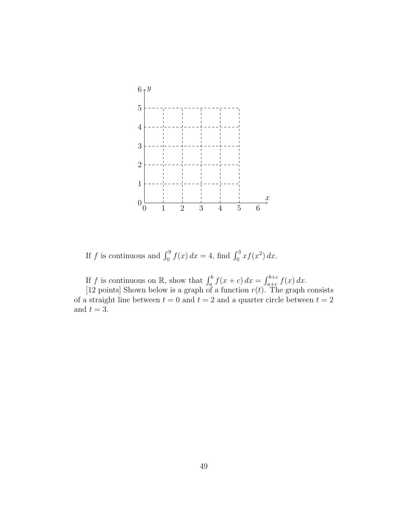![](_page_48_Figure_0.jpeg)

If f is continuous and  $\int_0^9 f(x) dx = 4$ , find  $\int_0^3 x f(x^2) dx$ .

If f is continuous on R, show that  $\int_a^b f(x+c) dx = \int_{a+c}^{b+c} f(x) dx$ .

[12 points] Shown below is a graph of a function  $r(t)$ . The graph consists of a straight line between  $t = 0$  and  $t = 2$  and a quarter circle between  $t = 2$ and  $t = 3$ .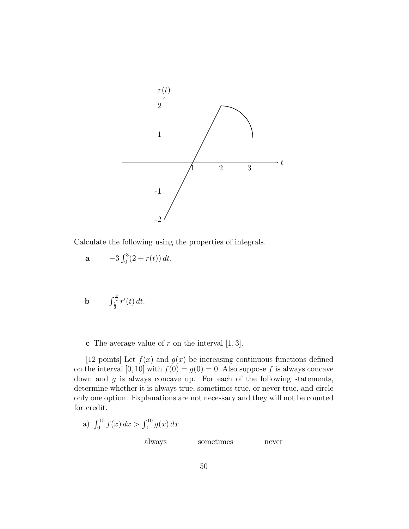![](_page_49_Figure_0.jpeg)

Calculate the following using the properties of integrals.

**a** 
$$
-3 \int_0^3 (2 + r(t)) dt
$$
.

**b** 
$$
\int_{\frac{1}{2}}^{\frac{3}{2}} r'(t) dt
$$
.

**c** The average value of  $r$  on the interval  $[1, 3]$ .

[12 points] Let  $f(x)$  and  $g(x)$  be increasing continuous functions defined on the interval [0, 10] with  $f(0) = g(0) = 0$ . Also suppose f is always concave down and  $g$  is always concave up. For each of the following statements, determine whether it is always true, sometimes true, or never true, and circle only one option. Explanations are not necessary and they will not be counted for credit.

a) 
$$
\int_0^{10} f(x) dx > \int_0^{10} g(x) dx
$$
.  
always sometimes never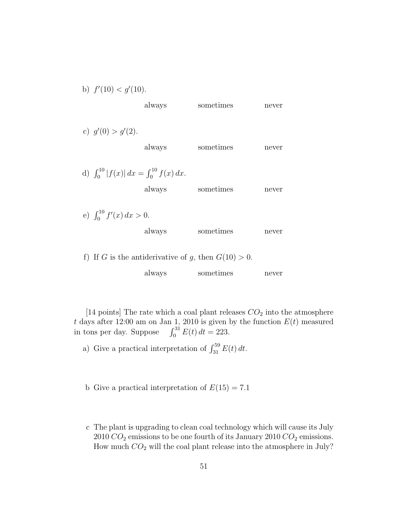| b) $f'(10) < g'(10)$ .                             |        |                                                        |       |
|----------------------------------------------------|--------|--------------------------------------------------------|-------|
|                                                    | always | sometimes                                              | never |
|                                                    |        |                                                        |       |
| c) $g'(0) > g'(2)$ .                               |        |                                                        |       |
|                                                    | always | sometimes                                              | never |
|                                                    |        |                                                        |       |
| d) $\int_0^{10}  f(x)  dx = \int_0^{10} f(x) dx$ . |        |                                                        |       |
|                                                    | always | sometimes                                              | never |
|                                                    |        |                                                        |       |
| e) $\int_0^{10} f'(x) dx > 0.$                     |        |                                                        |       |
|                                                    | always | sometimes                                              | never |
|                                                    |        |                                                        |       |
|                                                    |        | f) If G is the antiderivative of g, then $G(10) > 0$ . |       |

| always | sometimes | never |
|--------|-----------|-------|
|        |           |       |

[14 points] The rate which a coal plant releases  $CO<sub>2</sub>$  into the atmosphere t days after 12:00 am on Jan 1, 2010 is given by the function  $E(t)$  measured in tons per day. Suppose  $\int_0^{31} E(t) dt = 223$ .

- a) Give a practical interpretation of  $\int_{31}^{59} E(t) dt$ .
- b Give a practical interpretation of  $E(15) = 7.1$
- c The plant is upgrading to clean coal technology which will cause its July 2010  $CO_2$  emissions to be one fourth of its January 2010  $CO_2$  emissions. How much  $CO<sub>2</sub>$  will the coal plant release into the atmosphere in July?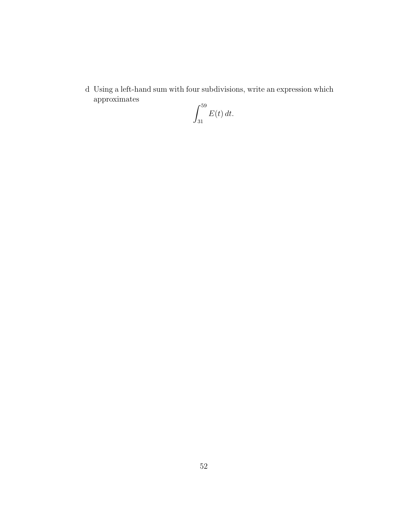d Using a left-hand sum with four subdivisions, write an expression which approximates

$$
\int_{31}^{59} E(t) dt.
$$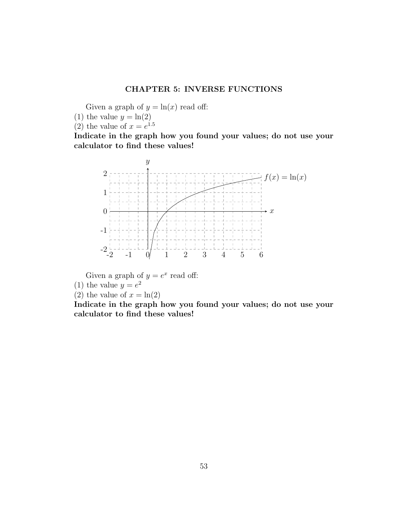## CHAPTER 5: INVERSE FUNCTIONS

Given a graph of  $y = \ln(x)$  read off:

- (1) the value  $y = \ln(2)$
- (2) the value of  $x = e^{1.5}$

Indicate in the graph how you found your values; do not use your calculator to find these values!

![](_page_52_Figure_5.jpeg)

Given a graph of  $y = e^x$  read off:

- (1) the value  $y = e^2$
- (2) the value of  $x = \ln(2)$

Indicate in the graph how you found your values; do not use your calculator to find these values!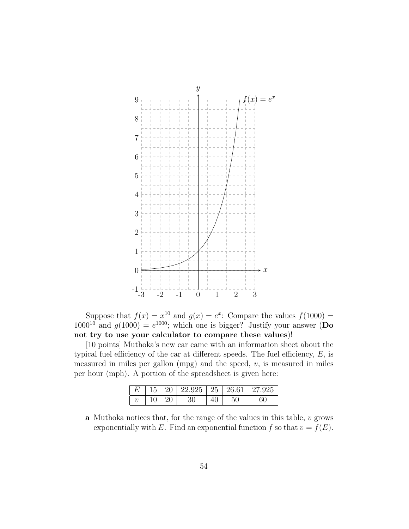![](_page_53_Figure_0.jpeg)

Suppose that  $f(x) = x^{10}$  and  $g(x) = e^x$ . Compare the values  $f(1000) =$  $1000^{10}$  and  $g(1000) = e^{1000}$ ; which one is bigger? Justify your answer (Do not try to use your calculator to compare these values)!

[10 points] Muthoka's new car came with an information sheet about the typical fuel efficiency of the car at different speeds. The fuel efficiency,  $E$ , is measured in miles per gallon  $(mpg)$  and the speed,  $v$ , is measured in miles per hour (mph). A portion of the spreadsheet is given here:

|                          |       |      | $E$    15    20    22.925    25    26.61    27.925 |
|--------------------------|-------|------|----------------------------------------------------|
| $v \parallel 10 \mid 20$ | - 30- | - 50 |                                                    |

a Muthoka notices that, for the range of the values in this table,  $v$  grows exponentially with E. Find an exponential function f so that  $v = f(E)$ .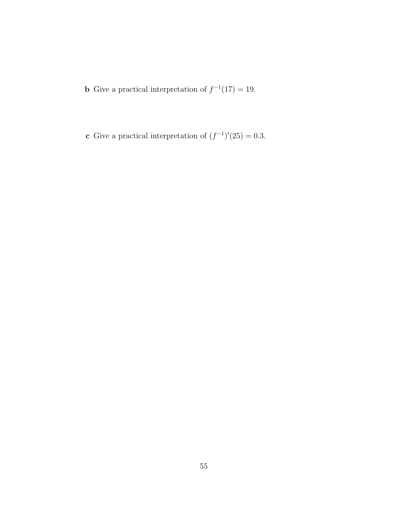**b** Give a practical interpretation of  $f^{-1}(17) = 19$ .

c Give a practical interpretation of  $(f^{-1})'(25) = 0.3$ .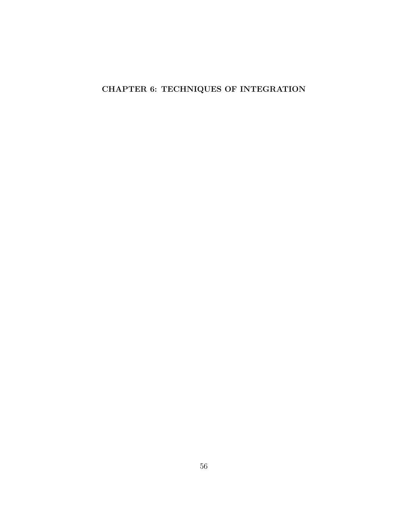# CHAPTER 6: TECHNIQUES OF INTEGRATION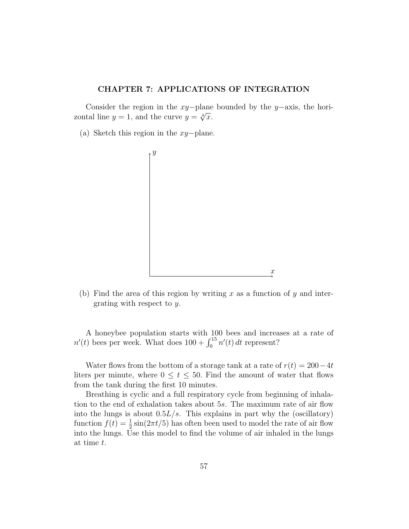## CHAPTER 7: APPLICATIONS OF INTEGRATION

Consider the region in the xy−plane bounded by the y−axis, the hori-Consider the region in the  $xy$ -plane<br>zontal line  $y = 1$ , and the curve  $y = \sqrt[4]{x}$ .

(a) Sketch this region in the xy−plane.

![](_page_56_Figure_3.jpeg)

(b) Find the area of this region by writing  $x$  as a function of  $y$  and intergrating with respect to y.

A honeybee population starts with 100 bees and increases at a rate of  $n'(t)$  bees per week. What does  $100 + \int_0^{15} n'(t) dt$  represent?

Water flows from the bottom of a storage tank at a rate of  $r(t) = 200-4t$ liters per minute, where  $0 \le t \le 50$ . Find the amount of water that flows from the tank during the first 10 minutes.

Breathing is cyclic and a full respiratory cycle from beginning of inhalation to the end of exhalation takes about 5s. The maximum rate of air flow into the lungs is about  $0.5L/s$ . This explains in part why the (oscillatory) function  $f(t) = \frac{1}{2} \sin(2\pi t/5)$  has often been used to model the rate of air flow into the lungs. Use this model to find the volume of air inhaled in the lungs at time t.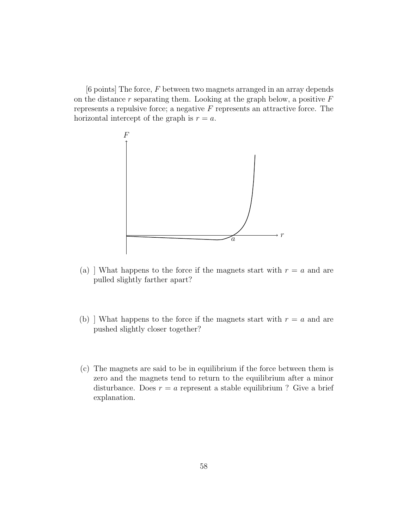[6 points] The force, F between two magnets arranged in an array depends on the distance  $r$  separating them. Looking at the graph below, a positive  $F$ represents a repulsive force; a negative  $F$  represents an attractive force. The horizontal intercept of the graph is  $r = a$ .

![](_page_57_Figure_1.jpeg)

- (a) ] What happens to the force if the magnets start with  $r = a$  and are pulled slightly farther apart?
- (b) ] What happens to the force if the magnets start with  $r = a$  and are pushed slightly closer together?
- (c) The magnets are said to be in equilibrium if the force between them is zero and the magnets tend to return to the equilibrium after a minor disturbance. Does  $r = a$  represent a stable equilibrium ? Give a brief explanation.